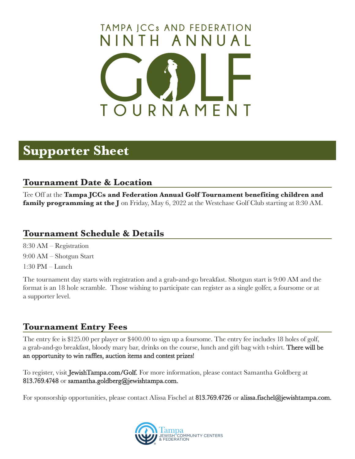# **TOURNAMENT NINTH ANNUAL TAMPA JCCs AND FEDERATION**

### **Supporter Sheet**

#### **Tournament Date & Location**

Tee Off at the **Tampa JCCs and Federation Annual Golf Tournament benefiting children and family programming at the J** on Friday, May 6, 2022 at the Westchase Golf Club starting at 8:30 AM.

#### **Tournament Schedule & Details**

8:30 AM – Registration 9:00 AM – Shotgun Start 1:30 PM – Lunch

The tournament day starts with registration and a grab-and-go breakfast. Shotgun start is 9:00 AM and the format is an 18 hole scramble. Those wishing to participate can register as a single golfer, a foursome or at a supporter level.

#### **Tournament Entry Fees**

The entry fee is \$125.00 per player or \$400.00 to sign up a foursome. The entry fee includes 18 holes of golf, a grab-and-go breakfast, bloody mary bar, drinks on the course, lunch and gift bag with t-shirt. There will be an opportunity to win raffles, auction items and contest prizes!

To register, visit JewishTampa.com/Golf. For more information, please contact Samantha Goldberg at 813.769.4748 or samantha.goldberg@jewishtampa.com.

For sponsorship opportunities, please contact Alissa Fischel at 813.769.4726 or alissa.fischel@jewishtampa.com.